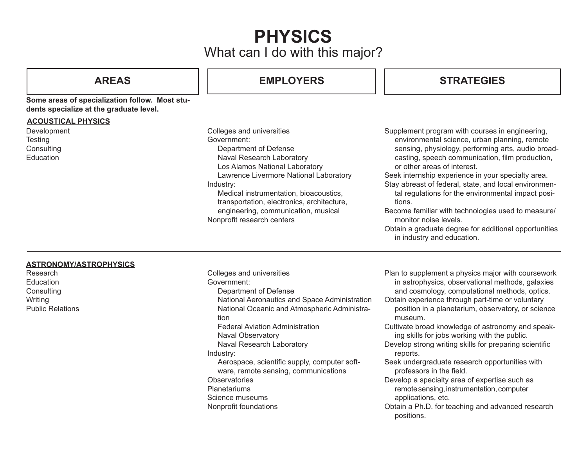# What can I do with this major? **PHYSICS**

### **Some areas of specialization follow. Most students specialize at the graduate level.**

#### **ACOUSTICAL PHYSICS**

Development **Testing Consulting Education** 

## **AREAS EMPLOYERS STRATEGIES**

Colleges and universities Government: Department of Defense Naval Research Laboratory Los Alamos National Laboratory Lawrence Livermore National Laboratory Industry: Medical instrumentation, bioacoustics, transportation, electronics, architecture, engineering, communication, musical Nonprofit research centers

Supplement program with courses in engineering, environmental science, urban planning, remote sensing, physiology, performing arts, audio broadcasting, speech communication, film production, or other areas of interest.

Seek internship experience in your specialty area.

Stay abreast of federal, state, and local environmental regulations for the environmental impact positions.

Become familiar with technologies used to measure/ monitor noise levels.

Obtain a graduate degree for additional opportunities in industry and education.

### **ASTRONOMY/ASTROPHYSICS**

Research **Education Consulting Writing** Public Relations Colleges and universities Government: Department of Defense National Aeronautics and Space Administration National Oceanic and Atmospheric Administration Federal Aviation Administration Naval Observatory Naval Research Laboratory Industry: Aerospace, scientific supply, computer software, remote sensing, communications **Observatories Planetariums** Science museums Nonprofit foundations

Plan to supplement a physics major with coursework in astrophysics, observational methods, galaxies and cosmology, computational methods, optics.

Obtain experience through part-time or voluntary position in a planetarium, observatory, or science museum.

Cultivate broad knowledge of astronomy and speaking skills for jobs working with the public.

Develop strong writing skills for preparing scientific reports.

Seek undergraduate research opportunities with professors in the field.

Develop a specialty area of expertise such as remote sensing, instrumentation, computer applications, etc.

Obtain a Ph.D. for teaching and advanced research positions.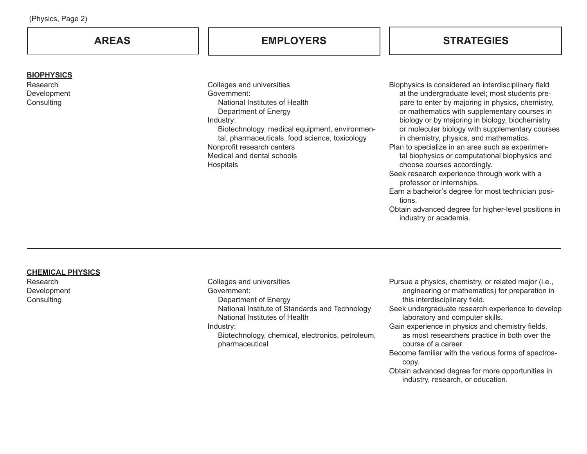| (Physics, Page 2)                                          |                                                                                                                                                                                                                                                                                            |                                                                                                                                                                                                                                                                                                                                                                                                                                                                                                                                                                                                                                                                                                                               |  |  |  |
|------------------------------------------------------------|--------------------------------------------------------------------------------------------------------------------------------------------------------------------------------------------------------------------------------------------------------------------------------------------|-------------------------------------------------------------------------------------------------------------------------------------------------------------------------------------------------------------------------------------------------------------------------------------------------------------------------------------------------------------------------------------------------------------------------------------------------------------------------------------------------------------------------------------------------------------------------------------------------------------------------------------------------------------------------------------------------------------------------------|--|--|--|
| <b>AREAS</b>                                               | <b>EMPLOYERS</b>                                                                                                                                                                                                                                                                           | <b>STRATEGIES</b>                                                                                                                                                                                                                                                                                                                                                                                                                                                                                                                                                                                                                                                                                                             |  |  |  |
| <b>BIOPHYSICS</b><br>Research<br>Development<br>Consulting | Colleges and universities<br>Government:<br>National Institutes of Health<br>Department of Energy<br>Industry:<br>Biotechnology, medical equipment, environmen-<br>tal, pharmaceuticals, food science, toxicology<br>Nonprofit research centers<br>Medical and dental schools<br>Hospitals | Biophysics is considered an interdisciplinary field<br>at the undergraduate level; most students pre-<br>pare to enter by majoring in physics, chemistry,<br>or mathematics with supplementary courses in<br>biology or by majoring in biology, biochemistry<br>or molecular biology with supplementary courses<br>in chemistry, physics, and mathematics.<br>Plan to specialize in an area such as experimen-<br>tal biophysics or computational biophysics and<br>choose courses accordingly.<br>Seek research experience through work with a<br>professor or internships.<br>Earn a bachelor's degree for most technician posi-<br>tions.<br>Obtain advanced degree for higher-level positions in<br>industry or academia. |  |  |  |

### **CHEMICAL PHYSICS**

Research Development Consulting

Colleges and universities Government: Department of Energy National Institute of Standards and Technology National Institutes of Health Industry: Biotechnology, chemical, electronics, petroleum, pharmaceutical

- Pursue a physics, chemistry, or related major (i.e., engineering or mathematics) for preparation in this interdisciplinary field.
- Seek undergraduate research experience to develop laboratory and computer skills.
- Gain experience in physics and chemistry fields, as most researchers practice in both over the
	- course of a career.
- Become familiar with the various forms of spectroscopy.
- Obtain advanced degree for more opportunities in industry, research, or education.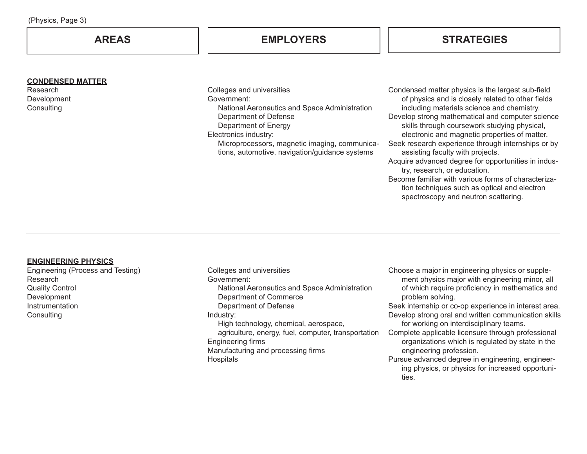| (Physics, Page 3) |  |  |
|-------------------|--|--|
|-------------------|--|--|

#### **CONDENSED MATTER**

Research Development **Consulting** 

Colleges and universities Government: National Aeronautics and Space Administration Department of Defense Department of Energy Electronics industry: Microprocessors, magnetic imaging, communications, automotive, navigation/guidance systems

Condensed matter physics is the largest sub-field of physics and is closely related to other fields including materials science and chemistry. Develop strong mathematical and computer science skills through coursework studying physical, electronic and magnetic properties of matter. Seek research experience through internships or by assisting faculty with projects. Acquire advanced degree for opportunities in industry, research, or education. Become familiar with various forms of characterization techniques such as optical and electron

spectroscopy and neutron scattering.

#### **ENGINEERING PHYSICS**

Engineering (Process and Testing) Research Quality Control **Development Instrumentation Consulting** 

Colleges and universities Government: National Aeronautics and Space Administration Department of Commerce Department of Defense Industry: High technology, chemical, aerospace, agriculture, energy, fuel, computer, transportation Engineering firms Manufacturing and processing firms **Hospitals** 

Choose a major in engineering physics or supplement physics major with engineering minor, all of which require proficiency in mathematics and problem solving.

Seek internship or co-op experience in interest area. Develop strong oral and written communication skills for working on interdisciplinary teams.

Complete applicable licensure through professional organizations which is regulated by state in the engineering profession.

Pursue advanced degree in engineering, engineering physics, or physics for increased opportunities.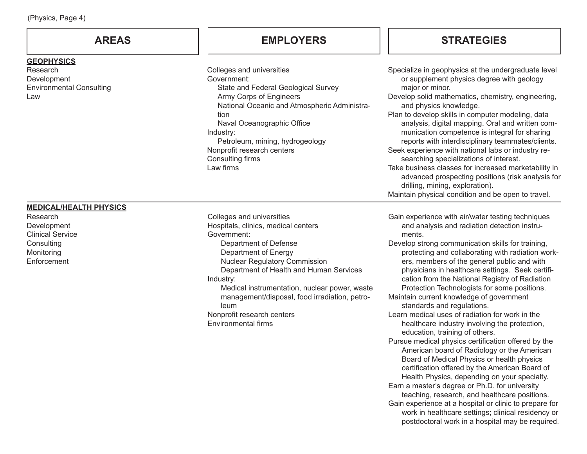| (Physics, Page 4) |  |  |
|-------------------|--|--|
|-------------------|--|--|

#### **GEOPHYSICS**

Research Development Environmental Consulting Law

Colleges and universities Government: State and Federal Geological Survey Army Corps of Engineers National Oceanic and Atmospheric Administration Naval Oceanographic Office Industry: Petroleum, mining, hydrogeology Nonprofit research centers Consulting firms Law firms

## **AREAS EMPLOYERS STRATEGIES**

| Specialize in geophysics at the undergraduate level  |
|------------------------------------------------------|
| or supplement physics degree with geology            |
| major or minor.                                      |
| Develop solid mathematics, chemistry, engineering,   |
| and physics knowledge.                               |
| Plan to develop skills in computer modeling, data    |
| analysis, digital mapping. Oral and written com-     |
| munication competence is integral for sharing        |
| reports with interdisciplinary teammates/clients.    |
| Seek experience with national labs or industry re-   |
| searching specializations of interest.               |
| Take business classes for increased marketability in |
| advanced prospecting positions (risk analysis for    |
| drilling, mining, exploration).                      |
| Maintain physical condition and be open to travel.   |

**MEDICAL/HEALTH PHYSICS**

Research Development Clinical Service **Consulting** Monitoring **Enforcement** 

Colleges and universities Hospitals, clinics, medical centers Government: Department of Defense Department of Energy Nuclear Regulatory Commission Department of Health and Human Services Industry: Medical instrumentation, nuclear power, waste management/disposal, food irradiation, petroleum Nonprofit research centers Environmental firms

Gain experience with air/water testing techniques and analysis and radiation detection instruments.

Develop strong communication skills for training, protecting and collaborating with radiation workers, members of the general public and with physicians in healthcare settings. Seek certification from the National Registry of Radiation Protection Technologists for some positions.

Maintain current knowledge of government standards and regulations.

- Learn medical uses of radiation for work in the healthcare industry involving the protection, education, training of others.
- Pursue medical physics certification offered by the American board of Radiology or the American Board of Medical Physics or health physics certification offered by the American Board of Health Physics, depending on your specialty. Earn a master's degree or Ph.D. for university teaching, research, and healthcare positions. Gain experience at a hospital or clinic to prepare for work in healthcare settings; clinical residency or postdoctoral work in a hospital may be required.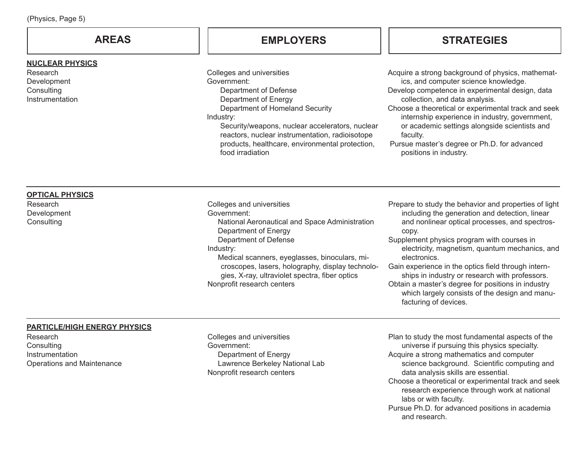| $(T \cup Y) \cup S$ , $T \cup T \cup T$                                                                        |                                                                                                                                                                                                                                                                                                                                               |                                                                                                                                                                                                                                                                                                                                                                                                                                                                                                                              |  |
|----------------------------------------------------------------------------------------------------------------|-----------------------------------------------------------------------------------------------------------------------------------------------------------------------------------------------------------------------------------------------------------------------------------------------------------------------------------------------|------------------------------------------------------------------------------------------------------------------------------------------------------------------------------------------------------------------------------------------------------------------------------------------------------------------------------------------------------------------------------------------------------------------------------------------------------------------------------------------------------------------------------|--|
| <b>AREAS</b>                                                                                                   | <b>EMPLOYERS</b>                                                                                                                                                                                                                                                                                                                              | <b>STRATEGIES</b>                                                                                                                                                                                                                                                                                                                                                                                                                                                                                                            |  |
| <b>NUCLEAR PHYSICS</b><br>Research<br>Development<br>Consulting<br>Instrumentation                             | Colleges and universities<br>Government:<br>Department of Defense<br>Department of Energy<br>Department of Homeland Security<br>Industry:<br>Security/weapons, nuclear accelerators, nuclear<br>reactors, nuclear instrumentation, radioisotope<br>products, healthcare, environmental protection,<br>food irradiation                        | Acquire a strong background of physics, mathemat-<br>ics, and computer science knowledge.<br>Develop competence in experimental design, data<br>collection, and data analysis.<br>Choose a theoretical or experimental track and seek<br>internship experience in industry, government,<br>or academic settings alongside scientists and<br>faculty.<br>Pursue master's degree or Ph.D. for advanced<br>positions in industry.                                                                                               |  |
| <b>OPTICAL PHYSICS</b><br>Research<br>Development<br>Consulting                                                | Colleges and universities<br>Government:<br>National Aeronautical and Space Administration<br>Department of Energy<br>Department of Defense<br>Industry:<br>Medical scanners, eyeglasses, binoculars, mi-<br>croscopes, lasers, holography, display technolo-<br>gies, X-ray, ultraviolet spectra, fiber optics<br>Nonprofit research centers | Prepare to study the behavior and properties of light<br>including the generation and detection, linear<br>and nonlinear optical processes, and spectros-<br>copy.<br>Supplement physics program with courses in<br>electricity, magnetism, quantum mechanics, and<br>electronics.<br>Gain experience in the optics field through intern-<br>ships in industry or research with professors.<br>Obtain a master's degree for positions in industry<br>which largely consists of the design and manu-<br>facturing of devices. |  |
| <b>PARTICLE/HIGH ENERGY PHYSICS</b><br>Research<br>Consulting<br>Instrumentation<br>Operations and Maintenance | Colleges and universities<br>Government:<br>Department of Energy<br>Lawrence Berkeley National Lab<br>Nonprofit research centers                                                                                                                                                                                                              | Plan to study the most fundamental aspects of the<br>universe if pursuing this physics specialty.<br>Acquire a strong mathematics and computer<br>science background. Scientific computing and<br>data analysis skills are essential.                                                                                                                                                                                                                                                                                        |  |

- Choose a theoretical or experimental track and seek research experience through work at national labs or with faculty.
- Pursue Ph.D. for advanced positions in academia and research.